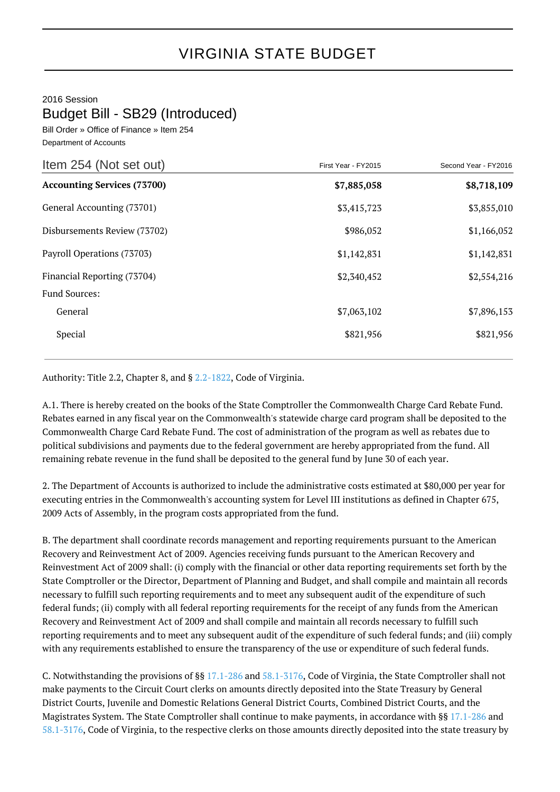## 2016 Session Budget Bill - SB29 (Introduced)

Bill Order » Office of Finance » Item 254 Department of Accounts

| Item 254 (Not set out)             | First Year - FY2015 | Second Year - FY2016 |
|------------------------------------|---------------------|----------------------|
| <b>Accounting Services (73700)</b> | \$7,885,058         | \$8,718,109          |
| General Accounting (73701)         | \$3,415,723         | \$3,855,010          |
| Disbursements Review (73702)       | \$986,052           | \$1,166,052          |
| Payroll Operations (73703)         | \$1,142,831         | \$1,142,831          |
| Financial Reporting (73704)        | \$2,340,452         | \$2,554,216          |
| <b>Fund Sources:</b>               |                     |                      |
| General                            | \$7,063,102         | \$7,896,153          |
| Special                            | \$821,956           | \$821,956            |

Authority: Title 2.2, Chapter 8, and § [2.2-1822](http://law.lis.virginia.gov/vacode/2.2-1822/), Code of Virginia.

A.1. There is hereby created on the books of the State Comptroller the Commonwealth Charge Card Rebate Fund. Rebates earned in any fiscal year on the Commonwealth's statewide charge card program shall be deposited to the Commonwealth Charge Card Rebate Fund. The cost of administration of the program as well as rebates due to political subdivisions and payments due to the federal government are hereby appropriated from the fund. All remaining rebate revenue in the fund shall be deposited to the general fund by June 30 of each year.

2. The Department of Accounts is authorized to include the administrative costs estimated at \$80,000 per year for executing entries in the Commonwealth's accounting system for Level III institutions as defined in Chapter 675, 2009 Acts of Assembly, in the program costs appropriated from the fund.

B. The department shall coordinate records management and reporting requirements pursuant to the American Recovery and Reinvestment Act of 2009. Agencies receiving funds pursuant to the American Recovery and Reinvestment Act of 2009 shall: (i) comply with the financial or other data reporting requirements set forth by the State Comptroller or the Director, Department of Planning and Budget, and shall compile and maintain all records necessary to fulfill such reporting requirements and to meet any subsequent audit of the expenditure of such federal funds; (ii) comply with all federal reporting requirements for the receipt of any funds from the American Recovery and Reinvestment Act of 2009 and shall compile and maintain all records necessary to fulfill such reporting requirements and to meet any subsequent audit of the expenditure of such federal funds; and (iii) comply with any requirements established to ensure the transparency of the use or expenditure of such federal funds.

C. Notwithstanding the provisions of §§ [17.1-286](http://law.lis.virginia.gov/vacode/17.1-286/) and [58.1-3176](http://law.lis.virginia.gov/vacode/58.1-3176/), Code of Virginia, the State Comptroller shall not make payments to the Circuit Court clerks on amounts directly deposited into the State Treasury by General District Courts, Juvenile and Domestic Relations General District Courts, Combined District Courts, and the Magistrates System. The State Comptroller shall continue to make payments, in accordance with §§ [17.1-286](http://law.lis.virginia.gov/vacode/17.1-286/) and [58.1-3176](http://law.lis.virginia.gov/vacode/58.1-3176/), Code of Virginia, to the respective clerks on those amounts directly deposited into the state treasury by